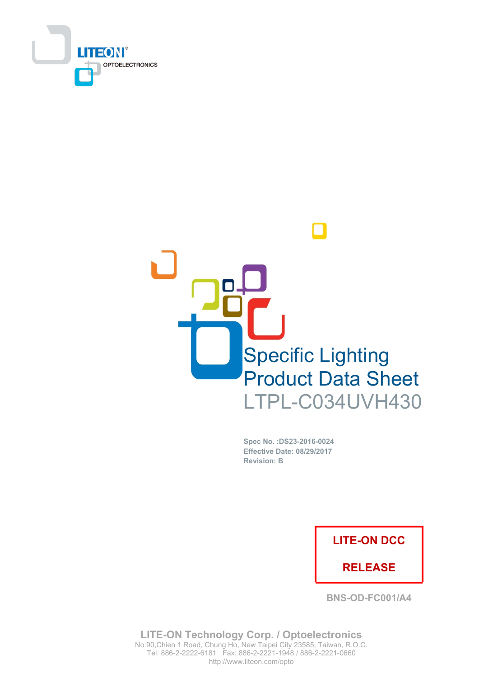



Spec No. : DS23-2016-0024 Effective Date: 08/29/2017 **Revision: B** 

## **LITE-ON DCC**

## **RELEASE**

**BNS-OD-FC001/A4** 

**LITE-ON Technology Corp. / Optoelectronics** No.90, Chien 1 Road, Chung Ho, New Taipei City 23585, Taiwan, R.O.C. Tel: 886-2-2222-6181 Fax: 886-2-2221-1948 / 886-2-2221-0660 http://www.liteon.com/opto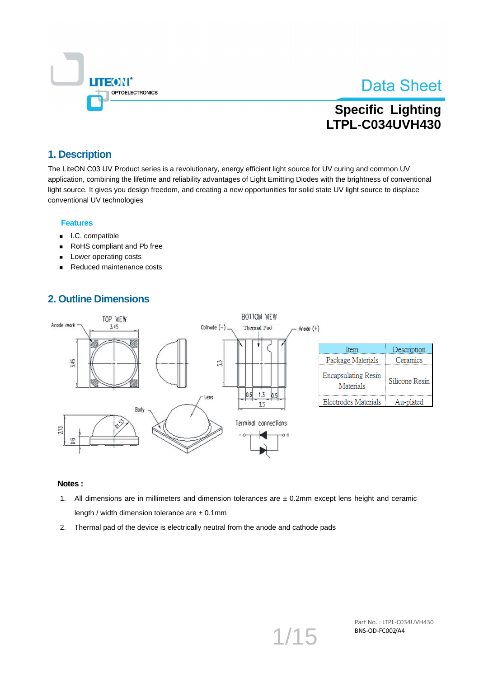

## **Specific Lighting LTPL-C034UVH430**

## 1. Description

The LiteON C03 UV Product series is a revolutionary, energy efficient light source for UV curing and common UV application, combining the lifetime and reliability advantages of Light Emitting Diodes with the brightness of conventional light source. It gives you design freedom, and creating a new opportunities for solid state UV light source to displace conventional UV technologies

#### **Features**

- I.C. compatible  $\blacksquare$
- RoHS compliant and Pb free  $\blacksquare$
- Lower operating costs
- Reduced maintenance costs

### **2. Outline Dimensions**



- 1. All dimensions are in millimeters and dimension tolerances are  $\pm$  0.2mm except lens height and ceramic length / width dimension tolerance are  $\pm$  0.1mm
- 2. Thermal pad of the device is electrically neutral from the anode and cathode pads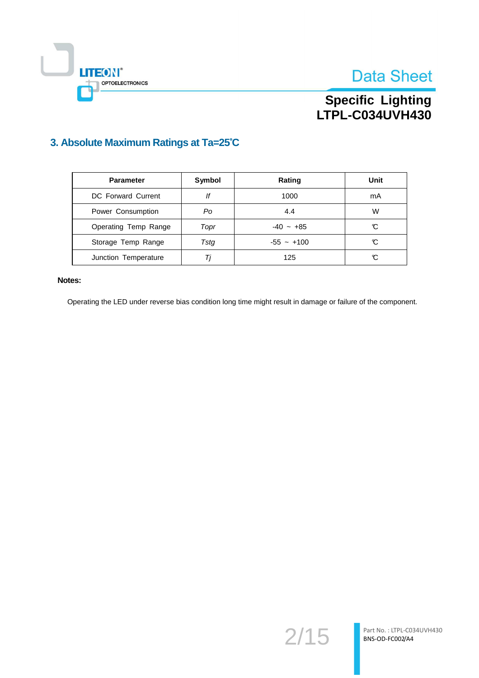



# Specific Lighting<br>LTPL-C034UVH430

## 3. Absolute Maximum Ratings at Ta=25°C

| <b>Parameter</b>     | Symbol | Rating       | Unit |
|----------------------|--------|--------------|------|
| DC Forward Current   | lf     | 1000         | mA   |
| Power Consumption    | Po     | 4.4          | W    |
| Operating Temp Range | Topr   | $-40 - +85$  | C    |
| Storage Temp Range   | Tstg   | $-55 - +100$ | C    |
| Junction Temperature | Ti     | 125          | C    |

#### Notes:

Operating the LED under reverse bias condition long time might result in damage or failure of the component.

 $2/15$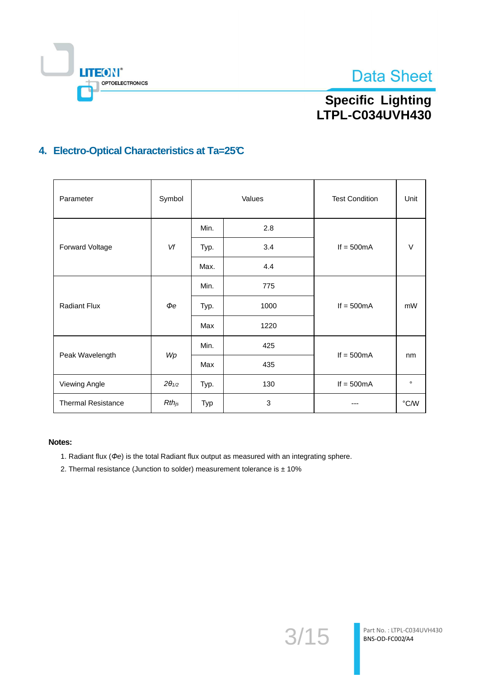



## **Specific Lighting** LTPL-C034UVH430

## 4. Electro-Optical Characteristics at Ta=25°C

| Parameter                 | Symbol          | Values |      | <b>Test Condition</b> | Unit          |
|---------------------------|-----------------|--------|------|-----------------------|---------------|
|                           |                 | Min.   | 2.8  |                       |               |
| Forward Voltage           | Vf              | Typ.   | 3.4  | If $= 500mA$          | $\vee$        |
|                           |                 | Max.   | 4.4  |                       |               |
|                           | $\bm{\phi}$ e   | Min.   | 775  |                       |               |
| <b>Radiant Flux</b>       |                 | Typ.   | 1000 | If $= 500mA$          | mW            |
|                           |                 | Max    | 1220 |                       |               |
|                           |                 | Min.   | 425  |                       |               |
| Peak Wavelength           | Wp              | Max    | 435  | If $= 500mA$          | nm            |
| Viewing Angle             | $2\theta_{1/2}$ | Typ.   | 130  | If $= 500mA$          | $\circ$       |
| <b>Thermal Resistance</b> | $Rth_{js}$      | Typ    | 3    | ---                   | $\degree$ C/W |

- 1. Radiant flux ( $\Phi$ e) is the total Radiant flux output as measured with an integrating sphere.
- 2. Thermal resistance (Junction to solder) measurement tolerance is  $\pm$  10%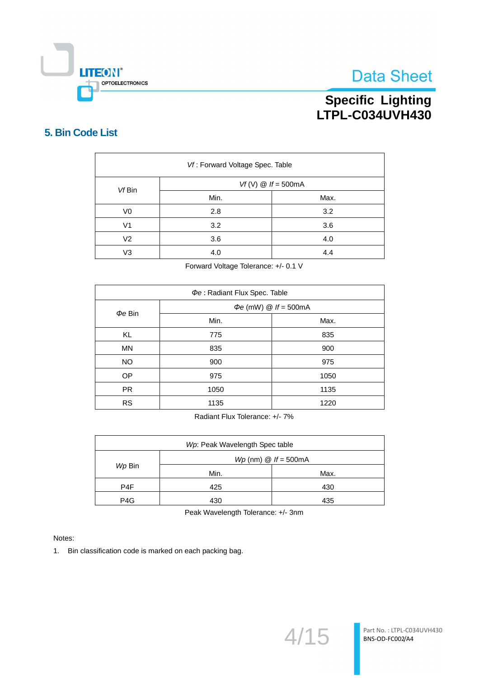

# Specific Lighting<br>LTPL-C034UVH430

## 5. Bin Code List

| Vf: Forward Voltage Spec. Table |                        |      |  |
|---------------------------------|------------------------|------|--|
| Vf Bin                          | $Vf(V)$ @ $If = 500mA$ |      |  |
|                                 | Min.                   | Max. |  |
| V <sub>0</sub>                  | 2.8                    | 3.2  |  |
| V1                              | 3.2                    | 3.6  |  |
| V <sub>2</sub>                  | 3.6<br>4.0             |      |  |
| V <sub>3</sub>                  | 4.0<br>4.4             |      |  |

Forward Voltage Tolerance: +/- 0.1 V

| Pe: Radiant Flux Spec. Table |                                   |      |  |
|------------------------------|-----------------------------------|------|--|
|                              | $\Phi e$ (mW) $\omega$ If = 500mA |      |  |
| $\Phi e$ Bin                 | Min.                              | Max. |  |
| <b>KL</b>                    | 775                               | 835  |  |
| <b>MN</b>                    | 835                               | 900  |  |
| <b>NO</b>                    | 975<br>900                        |      |  |
| OP                           | 975                               | 1050 |  |
| <b>PR</b>                    | 1135<br>1050                      |      |  |
| <b>RS</b>                    | 1135<br>1220                      |      |  |

Radiant Flux Tolerance: +/- 7%

| Wp: Peak Wavelength Spec table    |            |      |
|-----------------------------------|------------|------|
| $Wp$ (nm) $\mathcal Q$ If = 500mA |            |      |
| Wp Bin                            | Min.       | Max. |
| P4F                               | 425        | 430  |
| P <sub>4</sub> G                  | 435<br>430 |      |

Peak Wavelength Tolerance: +/- 3nm

Notes:

1. Bin classification code is marked on each packing bag.

 $4/15$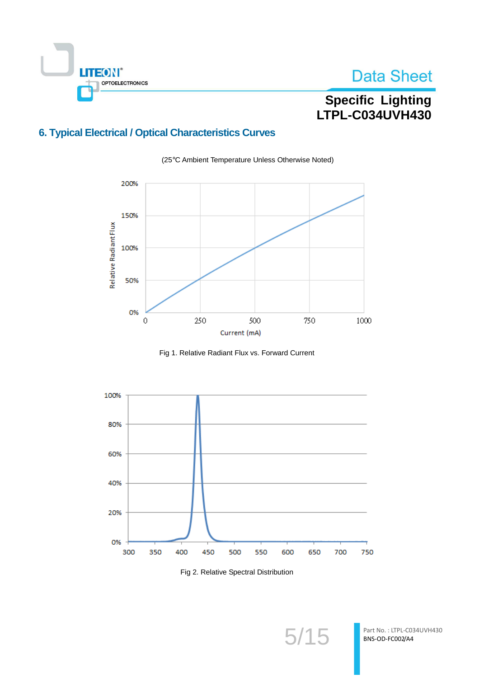

# Specific Lighting<br>LTPL-C034UVH430

## **6. Typical Electrical / Optical Characteristics Curves**



(25°C Ambient Temperature Unless Otherwise Noted)

Fig 1. Relative Radiant Flux vs. Forward Current



Fig 2. Relative Spectral Distribution

 $5/15$ 

Part No.: LTPL-C034UVH430 BNS-OD-FC002/A4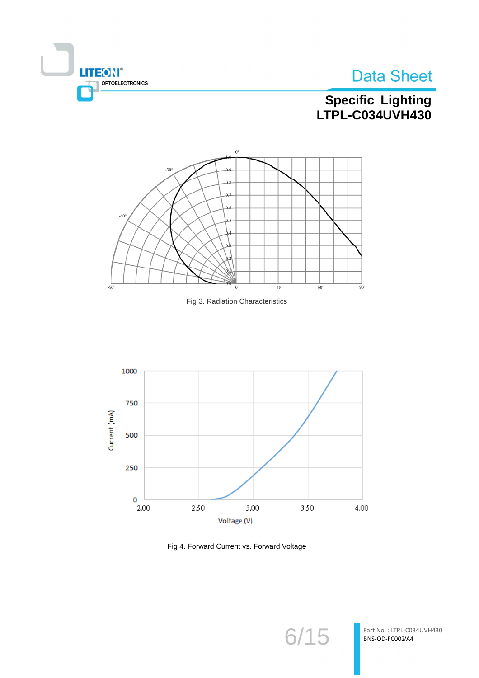



# Specific Lighting<br>LTPL-C034UVH430







Fig 4. Forward Current vs. Forward Voltage

 $6/15$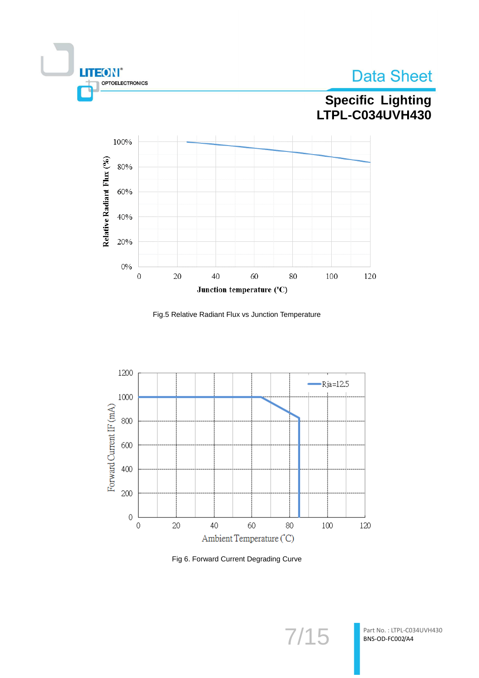



# Specific Lighting<br>LTPL-C034UVH430



Fig.5 Relative Radiant Flux vs Junction Temperature



Fig 6. Forward Current Degrading Curve

 $7/15$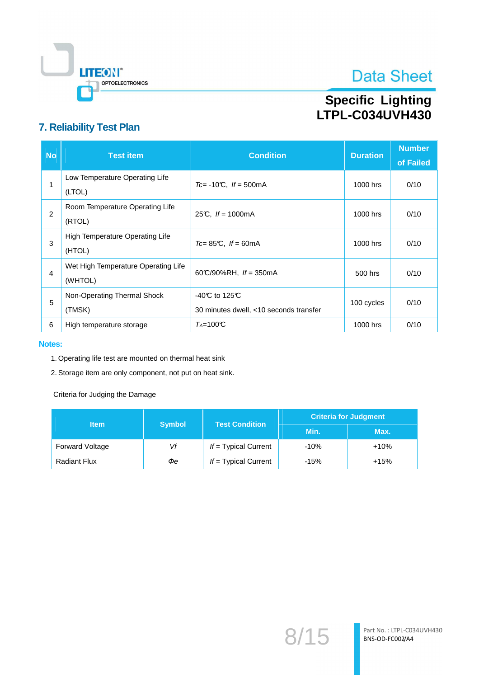

# Specific Lighting<br>LTPL-C034UVH430

## 7. Reliability Test Plan

| <b>No</b> | <b>Test item</b>                               | <b>Condition</b>                                                             | <b>Duration</b> | <b>Number</b><br>of Failed |
|-----------|------------------------------------------------|------------------------------------------------------------------------------|-----------------|----------------------------|
|           | Low Temperature Operating Life<br>(LTOL)       | $Tc = -10$ °C, $If = 500$ mA                                                 | 1000 hrs        | 0/10                       |
| 2         | Room Temperature Operating Life<br>(RTOL)      | 25°C, $If = 1000 \text{mA}$                                                  | 1000 hrs        | 0/10                       |
| 3         | High Temperature Operating Life<br>(HTOL)      | $Tc = 85^{\circ}C$ . If = 60mA                                               | 1000 hrs        | 0/10                       |
| 4         | Wet High Temperature Operating Life<br>(WHTOL) | 60°C/90%RH, $If = 350$ mA                                                    | 500 hrs         | 0/10                       |
| 5         | Non-Operating Thermal Shock<br>(TMSK)          | -40 $\mathbb C$ to 125 $\mathbb C$<br>30 minutes dwell, <10 seconds transfer | 100 cycles      | 0/10                       |
| 6         | High temperature storage                       | $T_A = 100 \text{°C}$                                                        | 1000 hrs        | 0/10                       |

#### **Notes:**

- 1. Operating life test are mounted on thermal heat sink
- 2. Storage item are only component, not put on heat sink.

Criteria for Judging the Damage

|                     |               | <b>Criteria for Judgment</b><br><b>Test Condition</b> |        |        |
|---------------------|---------------|-------------------------------------------------------|--------|--------|
| ltem                | <b>Symbol</b> |                                                       | Min.   | Max.   |
| Forward Voltage     | Vf            | $If = Typical Current$                                | $-10%$ | $+10%$ |
| <b>Radiant Flux</b> | Фe            | $If = Typical Current$                                | $-15%$ | $+15%$ |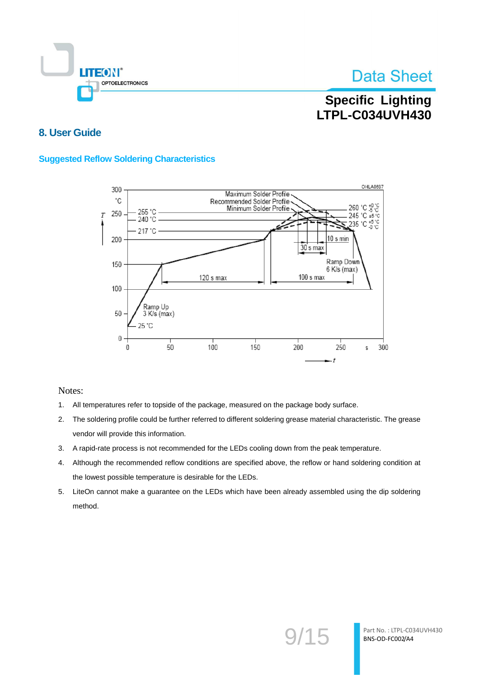

## **Specific Lighting LTPL-C034UVH430**

### 8. User Guide

### **Suggested Reflow Soldering Characteristics**



- All temperatures refer to topside of the package, measured on the package body surface.  $1.$
- $2.$ The soldering profile could be further referred to different soldering grease material characteristic. The grease vendor will provide this information.
- 3. A rapid-rate process is not recommended for the LEDs cooling down from the peak temperature.
- Although the recommended reflow conditions are specified above, the reflow or hand soldering condition at 4. the lowest possible temperature is desirable for the LEDs.
- 5. LiteOn cannot make a guarantee on the LEDs which have been already assembled using the dip soldering method.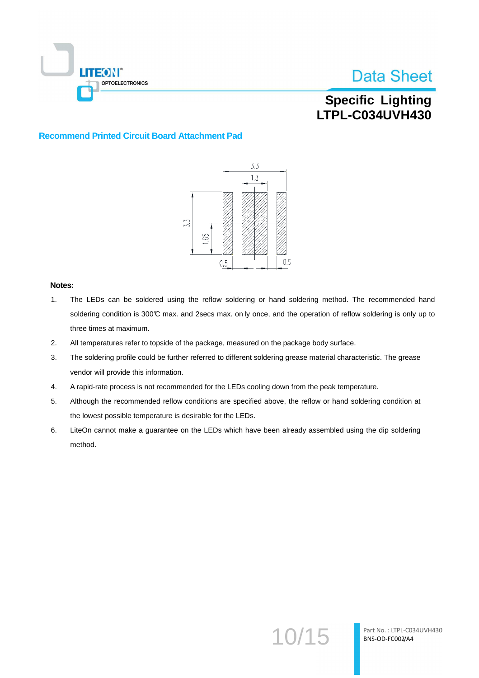

## **Specific Lighting LTPL-C034UVH430**

#### **Recommend Printed Circuit Board Attachment Pad**



- $1.$ The LEDs can be soldered using the reflow soldering or hand soldering method. The recommended hand soldering condition is 300°C max. and 2secs max. on ly once, and the operation of reflow soldering is only up to three times at maximum.
- $2.$ All temperatures refer to topside of the package, measured on the package body surface.
- The soldering profile could be further referred to different soldering grease material characteristic. The grease 3. vendor will provide this information.
- 4. A rapid-rate process is not recommended for the LEDs cooling down from the peak temperature.
- 5. Although the recommended reflow conditions are specified above, the reflow or hand soldering condition at the lowest possible temperature is desirable for the LEDs.
- 6. LiteOn cannot make a guarantee on the LEDs which have been already assembled using the dip soldering method.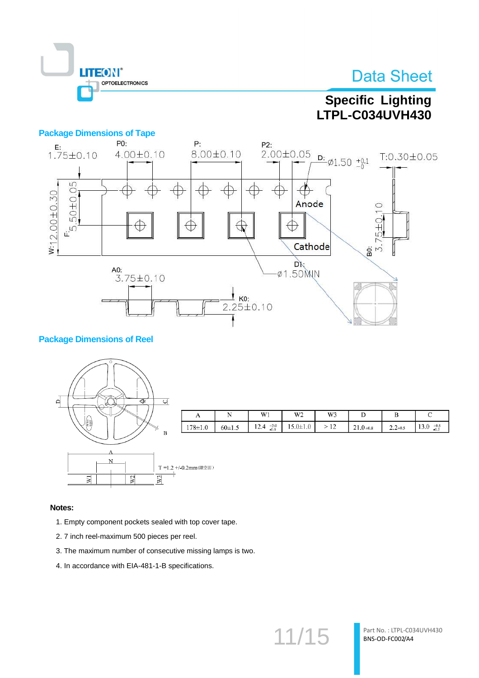

## **Specific Lighting** LTPL-C034UVH430

 $\overline{\mathbf{D}}$ 

 $21.0 + 0.8$ 

 $\overline{B}$ 

 $2.2 + 0.5$ 

 $\mathbf C$ 

13.0  $^{+0.5}_{-0.2}$ 

### **Package Dimensions of Tape**



### **Package Dimensions of Reel**



- 1. Empty component pockets sealed with top cover tape.
- 2.7 inch reel-maximum 500 pieces per reel.
- 3. The maximum number of consecutive missing lamps is two.
- 4. In accordance with EIA-481-1-B specifications.

 $11/15$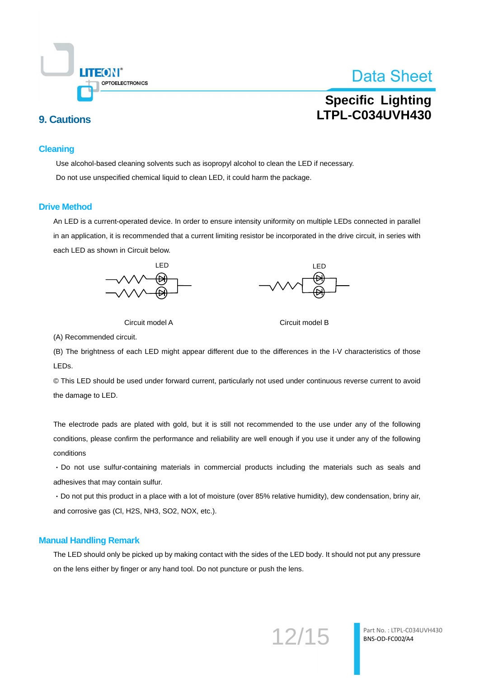

## **Specific Lighting I TPL-C034UVH430**

### **9. Cautions**

#### **Cleaning**

Use alcohol-based cleaning solvents such as isopropyl alcohol to clean the LED if necessary. Do not use unspecified chemical liquid to clean LED, it could harm the package.

#### **Drive Method**

An LED is a current-operated device. In order to ensure intensity uniformity on multiple LEDs connected in parallel in an application, it is recommended that a current limiting resistor be incorporated in the drive circuit, in series with each LED as shown in Circuit below.



Circuit model A



Circuit model B

(A) Recommended circuit.

(B) The brightness of each LED might appear different due to the differences in the I-V characteristics of those LEDs.

© This LED should be used under forward current, particularly not used under continuous reverse current to avoid the damage to LED.

The electrode pads are plated with gold, but it is still not recommended to the use under any of the following conditions, please confirm the performance and reliability are well enough if you use it under any of the following conditions

· Do not use sulfur-containing materials in commercial products including the materials such as seals and adhesives that may contain sulfur.

· Do not put this product in a place with a lot of moisture (over 85% relative humidity), dew condensation, briny air, and corrosive gas (Cl, H2S, NH3, SO2, NOX, etc.).

#### **Manual Handling Remark**

The LED should only be picked up by making contact with the sides of the LED body. It should not put any pressure on the lens either by finger or any hand tool. Do not puncture or push the lens.

12/15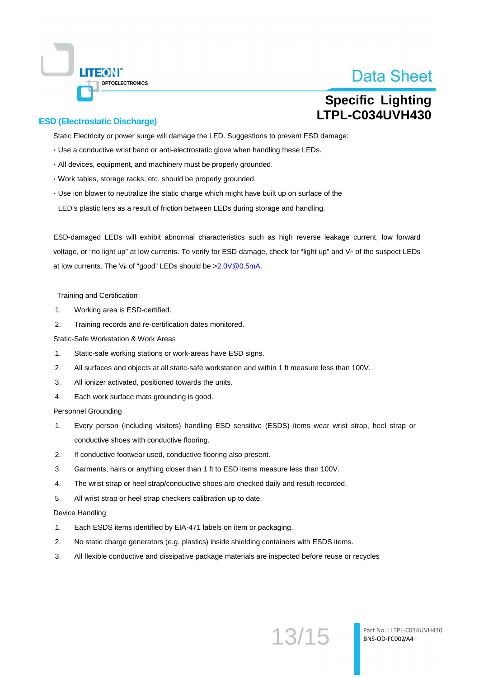**Specific Lighting** LTPL-C034UVH430

### **ESD (Electrostatic Discharge)**

**LITEON®** 

**OPTOELECTRONICS** 

Static Electricity or power surge will damage the LED. Suggestions to prevent ESD damage:

- · Use a conductive wrist band or anti-electrostatic glove when handling these LEDs.
- · All devices, equipment, and machinery must be properly grounded.
- · Work tables, storage racks, etc. should be properly grounded.
- · Use ion blower to neutralize the static charge which might have built up on surface of the LED's plastic lens as a result of friction between LEDs during storage and handling.

ESD-damaged LEDs will exhibit abnormal characteristics such as high reverse leakage current. low forward voltage, or "no light up" at low currents. To verify for ESD damage, check for "light up" and VF of the suspect LEDs at low currents. The V<sub>F</sub> of "good" LEDs should be >2.0V@0.5mA.

#### **Training and Certification**

- $\mathbf{1}$ Working area is ESD-certified.
- $\mathcal{L}$ Training records and re-certification dates monitored.

Static-Safe Workstation & Work Areas

- $1<sub>1</sub>$ Static-safe working stations or work-areas have ESD signs.
- $\mathcal{P}$ All surfaces and objects at all static-safe workstation and within 1 ft measure less than 100V.
- $\overline{3}$ . All ionizer activated, positioned towards the units.
- $\overline{4}$ . Each work surface mats grounding is good.

Personnel Grounding

- Every person (including visitors) handling ESD sensitive (ESDS) items wear wrist strap, heel strap or  $\mathbf{1}$ conductive shoes with conductive flooring.
- $2.$ If conductive footwear used, conductive flooring also present.
- 3. Garments, hairs or anything closer than 1 ft to ESD items measure less than 100V.
- $\overline{4}$ . The wrist strap or heel strap/conductive shoes are checked daily and result recorded.
- $5.$ All wrist strap or heel strap checkers calibration up to date.

#### Device Handling

- Each ESDS items identified by EIA-471 labels on item or packaging..  $\mathbf{1}$
- $2.$ No static charge generators (e.g. plastics) inside shielding containers with ESDS items.
- 3. All flexible conductive and dissipative package materials are inspected before reuse or recycles

13/15

Part No.: LTPL-C034UVH430 BNS-OD-FC002/A4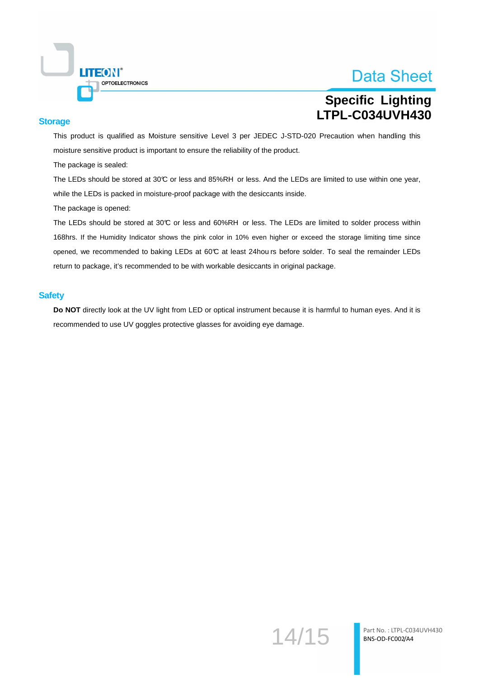

## **Specific Lighting LTPL-C034UVH430**

#### **Storage**

This product is qualified as Moisture sensitive Level 3 per JEDEC J-STD-020 Precaution when handling this moisture sensitive product is important to ensure the reliability of the product.

The package is sealed:

The LEDs should be stored at 30°C or less and 85%RH or less. And the LEDs are limited to use within one year, while the LEDs is packed in moisture-proof package with the desiccants inside.

The package is opened:

The LEDs should be stored at 30°C or less and 60%RH or less. The LEDs are limited to solder process within 168hrs. If the Humidity Indicator shows the pink color in 10% even higher or exceed the storage limiting time since opened, we recommended to baking LEDs at 60°C at least 24hou rs before solder. To seal the remainder LEDs return to package, it's recommended to be with workable desiccants in original package.

#### **Safety**

Do NOT directly look at the UV light from LED or optical instrument because it is harmful to human eyes. And it is recommended to use UV goggles protective glasses for avoiding eye damage.

14/15